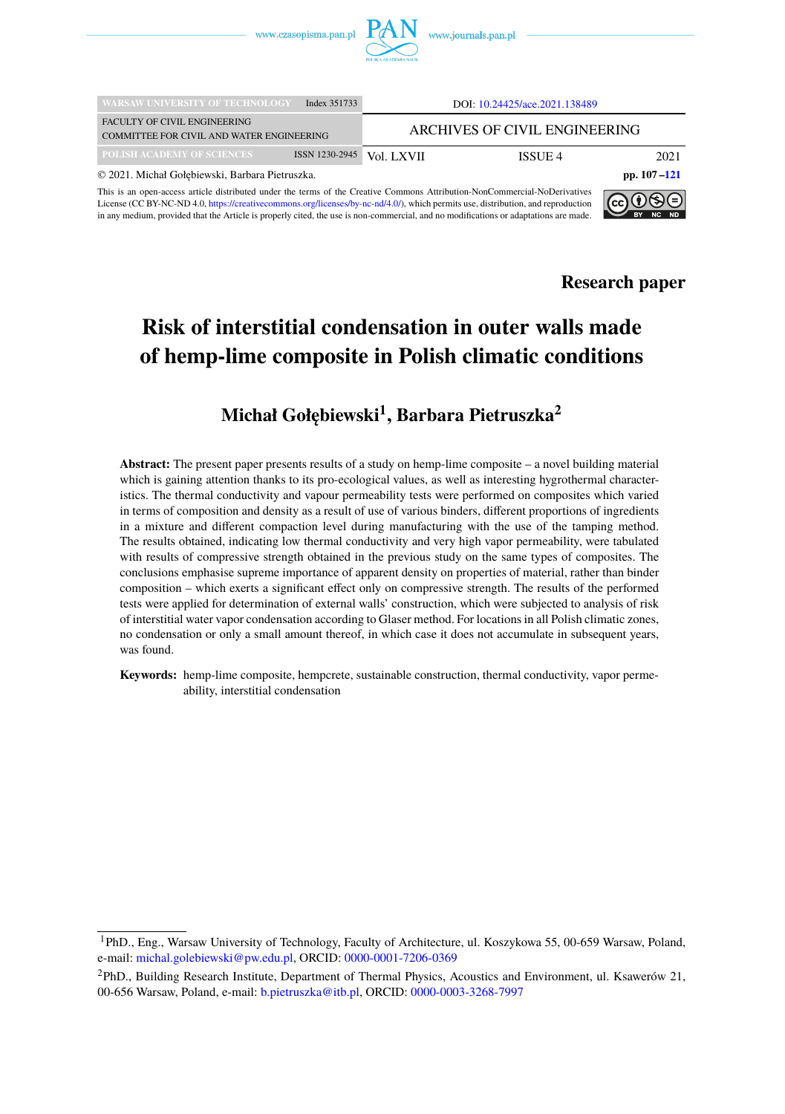

| <b>WARSAW UNIVERSITY OF TECHNOLOGY</b>                                                                                                                                                                                                                                                                                                                                                                                                                                     | Index 351733                  | DOI: 10.24425/ace.2021.138489 |                 |      |  |  |  |  |
|----------------------------------------------------------------------------------------------------------------------------------------------------------------------------------------------------------------------------------------------------------------------------------------------------------------------------------------------------------------------------------------------------------------------------------------------------------------------------|-------------------------------|-------------------------------|-----------------|------|--|--|--|--|
| <b>FACULTY OF CIVIL ENGINEERING</b><br>COMMITTEE FOR CIVIL AND WATER ENGINEERING                                                                                                                                                                                                                                                                                                                                                                                           | ARCHIVES OF CIVIL ENGINEERING |                               |                 |      |  |  |  |  |
| POLISH ACADEMY OF SCIENCES                                                                                                                                                                                                                                                                                                                                                                                                                                                 | ISSN 1230-2945                | Vol. LXVII                    | ISSUE 4         | 2021 |  |  |  |  |
| © 2021. Michał Gołębiewski, Barbara Pietruszka.                                                                                                                                                                                                                                                                                                                                                                                                                            |                               |                               | pp. $107 - 121$ |      |  |  |  |  |
| This is an open-access article distributed under the terms of the Creative Commons Attribution-NonCommercial-NoDerivatives<br>$\mathbb{I}(\mathsf{cc})$ $\mathbf{U}(\mathbb{S})$ $\mathbf{C})$<br>License (CC BY-NC-ND 4.0, https://creativecommons.org/licenses/by-nc-nd/4.0/), which permits use, distribution, and reproduction<br>in any medium, provided that the Article is properly cited, the use is non-commercial, and no modifications or adaptations are made. |                               |                               |                 |      |  |  |  |  |



# **Risk of interstitial condensation in outer walls made of hemp-lime composite in Polish climatic conditions**

## $\mathbf{Michael Gof}$ ębiewski $^1, \mathbf{Bar}$ bara Pietruszka $^2$

**Abstract:** The present paper presents results of a study on hemp-lime composite – a novel building material which is gaining attention thanks to its pro-ecological values, as well as interesting hygrothermal characteristics. The thermal conductivity and vapour permeability tests were performed on composites which varied in terms of composition and density as a result of use of various binders, different proportions of ingredients in a mixture and different compaction level during manufacturing with the use of the tamping method. The results obtained, indicating low thermal conductivity and very high vapor permeability, were tabulated with results of compressive strength obtained in the previous study on the same types of composites. The conclusions emphasise supreme importance of apparent density on properties of material, rather than binder composition – which exerts a significant effect only on compressive strength. The results of the performed tests were applied for determination of external walls' construction, which were subjected to analysis of risk of interstitial water vapor condensation according to Glaser method. For locations in all Polish climatic zones, no condensation or only a small amount thereof, in which case it does not accumulate in subsequent years, was found.

**Keywords:** hemp-lime composite, hempcrete, sustainable construction, thermal conductivity, vapor permeability, interstitial condensation

<sup>1</sup>PhD., Eng., Warsaw University of Technology, Faculty of Architecture, ul. Koszykowa 55, 00-659 Warsaw, Poland, e-mail: [michal.golebiewski@pw.edu.pl,](mailto:michal.golebiewski@pw.edu.pl) ORCID: [0000-0001-7206-0369](https://orcid.org/0000-0001-7206-0369)

<sup>2</sup>PhD., Building Research Institute, Department of Thermal Physics, Acoustics and Environment, ul. Ksawerów 21, 00-656 Warsaw, Poland, e-mail: [b.pietruszka@itb.pl,](mailto:b.pietruszka@itb.pl) ORCID: [0000-0003-3268-7997](https://orcid.org/0000-0003-3268-7997)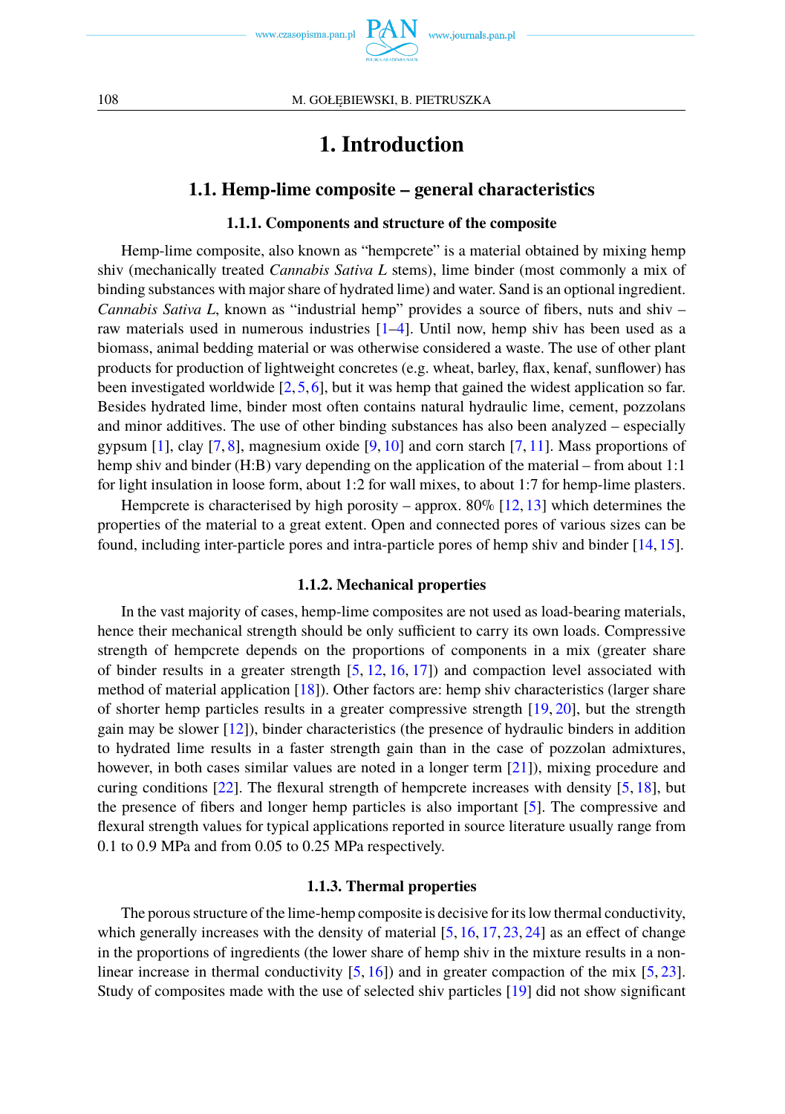

## **1. Introduction**

### **1.1. Hemp-lime composite – general characteristics**

### **1.1.1. Components and structure of the composite**

Hemp-lime composite, also known as "hempcrete" is a material obtained by mixing hemp shiv (mechanically treated *Cannabis Sativa L* stems), lime binder (most commonly a mix of binding substances with major share of hydrated lime) and water. Sand is an optional ingredient. *Cannabis Sativa L*, known as "industrial hemp" provides a source of fibers, nuts and shiv – raw materials used in numerous industries [\[1](#page-11-0)[–4\]](#page-12-0). Until now, hemp shiv has been used as a biomass, animal bedding material or was otherwise considered a waste. The use of other plant products for production of lightweight concretes (e.g. wheat, barley, flax, kenaf, sunflower) has been investigated worldwide [\[2,](#page-11-1)[5,](#page-12-1)[6\]](#page-12-2), but it was hemp that gained the widest application so far. Besides hydrated lime, binder most often contains natural hydraulic lime, cement, pozzolans and minor additives. The use of other binding substances has also been analyzed – especially gypsum  $[1]$ , clay  $[7, 8]$  $[7, 8]$  $[7, 8]$ , magnesium oxide  $[9, 10]$  $[9, 10]$  $[9, 10]$  and corn starch  $[7, 11]$  $[7, 11]$ . Mass proportions of hemp shiv and binder (H:B) vary depending on the application of the material – from about 1:1 for light insulation in loose form, about 1:2 for wall mixes, to about 1:7 for hemp-lime plasters.

Hempcrete is characterised by high porosity – approx.  $80\%$  [\[12,](#page-12-8) [13\]](#page-12-9) which determines the properties of the material to a great extent. Open and connected pores of various sizes can be found, including inter-particle pores and intra-particle pores of hemp shiv and binder [\[14,](#page-12-10) [15\]](#page-12-11).

#### **1.1.2. Mechanical properties**

In the vast majority of cases, hemp-lime composites are not used as load-bearing materials, hence their mechanical strength should be only sufficient to carry its own loads. Compressive strength of hempcrete depends on the proportions of components in a mix (greater share of binder results in a greater strength  $[5, 12, 16, 17]$  $[5, 12, 16, 17]$  $[5, 12, 16, 17]$  $[5, 12, 16, 17]$  $[5, 12, 16, 17]$  $[5, 12, 16, 17]$  $[5, 12, 16, 17]$  and compaction level associated with method of material application [\[18\]](#page-12-14)). Other factors are: hemp shiv characteristics (larger share of shorter hemp particles results in a greater compressive strength [\[19,](#page-12-15) [20\]](#page-12-16), but the strength gain may be slower [\[12\]](#page-12-8)), binder characteristics (the presence of hydraulic binders in addition to hydrated lime results in a faster strength gain than in the case of pozzolan admixtures, however, in both cases similar values are noted in a longer term [\[21\]](#page-12-17)), mixing procedure and curing conditions [\[22\]](#page-12-18). The flexural strength of hempcrete increases with density [\[5,](#page-12-1) [18\]](#page-12-14), but the presence of fibers and longer hemp particles is also important [\[5\]](#page-12-1). The compressive and flexural strength values for typical applications reported in source literature usually range from 0.1 to 0.9 MPa and from 0.05 to 0.25 MPa respectively.

#### **1.1.3. Thermal properties**

The porous structure of the lime-hemp composite is decisive for its low thermal conductivity, which generally increases with the density of material [\[5,](#page-12-1) [16,](#page-12-12) [17,](#page-12-13) [23,](#page-12-19) [24\]](#page-12-20) as an effect of change in the proportions of ingredients (the lower share of hemp shiv in the mixture results in a nonlinear increase in thermal conductivity  $[5, 16]$  $[5, 16]$  $[5, 16]$  and in greater compaction of the mix  $[5, 23]$  $[5, 23]$ . Study of composites made with the use of selected shiv particles [\[19\]](#page-12-15) did not show significant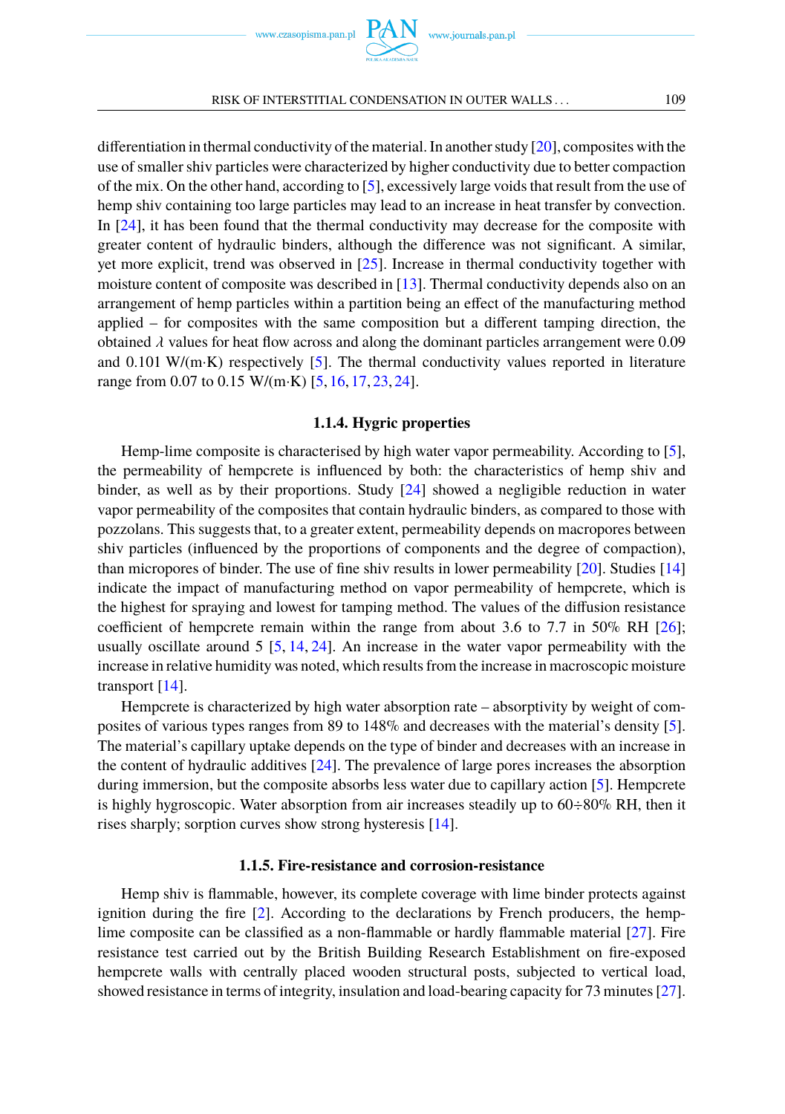differentiation in thermal conductivity of the material. In another study [\[20\]](#page-12-16), composites with the use of smaller shiv particles were characterized by higher conductivity due to better compaction of the mix. On the other hand, according to [\[5\]](#page-12-1), excessively large voids that result from the use of hemp shiv containing too large particles may lead to an increase in heat transfer by convection. In [\[24\]](#page-12-20), it has been found that the thermal conductivity may decrease for the composite with greater content of hydraulic binders, although the difference was not significant. A similar, yet more explicit, trend was observed in [\[25\]](#page-13-0). Increase in thermal conductivity together with moisture content of composite was described in [\[13\]](#page-12-9). Thermal conductivity depends also on an arrangement of hemp particles within a partition being an effect of the manufacturing method applied – for composites with the same composition but a different tamping direction, the obtained  $\lambda$  values for heat flow across and along the dominant particles arrangement were 0.09 and 0.101 W/(m·K) respectively [\[5\]](#page-12-1). The thermal conductivity values reported in literature range from 0.07 to 0.15 W/(m·K) [\[5,](#page-12-1) [16,](#page-12-12) [17,](#page-12-13) [23,](#page-12-19) [24\]](#page-12-20).

#### **1.1.4. Hygric properties**

Hemp-lime composite is characterised by high water vapor permeability. According to [\[5\]](#page-12-1), the permeability of hempcrete is influenced by both: the characteristics of hemp shiv and binder, as well as by their proportions. Study [\[24\]](#page-12-20) showed a negligible reduction in water vapor permeability of the composites that contain hydraulic binders, as compared to those with pozzolans. This suggests that, to a greater extent, permeability depends on macropores between shiv particles (influenced by the proportions of components and the degree of compaction), than micropores of binder. The use of fine shiv results in lower permeability [\[20\]](#page-12-16). Studies [\[14\]](#page-12-10) indicate the impact of manufacturing method on vapor permeability of hempcrete, which is the highest for spraying and lowest for tamping method. The values of the diffusion resistance coefficient of hempcrete remain within the range from about 3.6 to 7.7 in 50% RH  $[26]$ ; usually oscillate around 5 [\[5,](#page-12-1) [14,](#page-12-10) [24\]](#page-12-20). An increase in the water vapor permeability with the increase in relative humidity was noted, which results from the increase in macroscopic moisture transport [\[14\]](#page-12-10).

Hempcrete is characterized by high water absorption rate – absorptivity by weight of composites of various types ranges from 89 to 148% and decreases with the material's density [\[5\]](#page-12-1). The material's capillary uptake depends on the type of binder and decreases with an increase in the content of hydraulic additives [\[24\]](#page-12-20). The prevalence of large pores increases the absorption during immersion, but the composite absorbs less water due to capillary action [\[5\]](#page-12-1). Hempcrete is highly hygroscopic. Water absorption from air increases steadily up to  $60\div80\%$  RH, then it rises sharply; sorption curves show strong hysteresis [\[14\]](#page-12-10).

#### **1.1.5. Fire-resistance and corrosion-resistance**

Hemp shiv is flammable, however, its complete coverage with lime binder protects against ignition during the fire [\[2\]](#page-11-1). According to the declarations by French producers, the hemplime composite can be classified as a non-flammable or hardly flammable material [\[27\]](#page-13-2). Fire resistance test carried out by the British Building Research Establishment on fire-exposed hempcrete walls with centrally placed wooden structural posts, subjected to vertical load, showed resistance in terms of integrity, insulation and load-bearing capacity for 73 minutes [\[27\]](#page-13-2).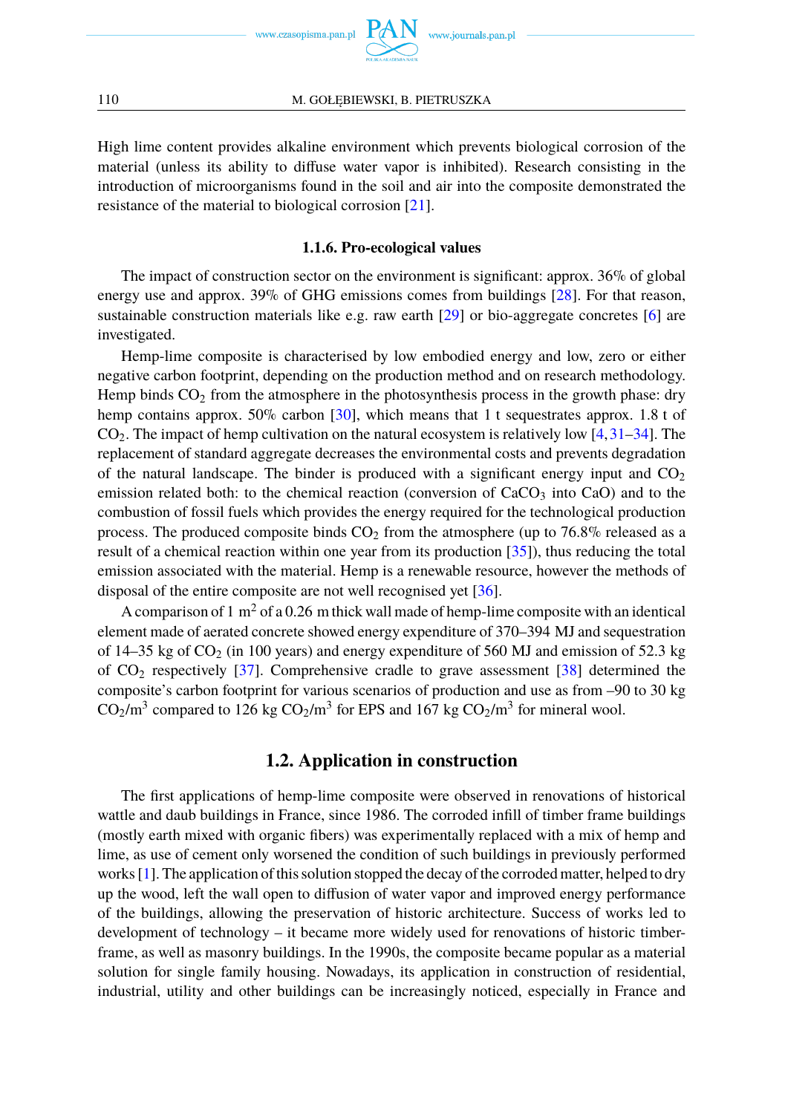

www.journals.pan.pl

High lime content provides alkaline environment which prevents biological corrosion of the material (unless its ability to diffuse water vapor is inhibited). Research consisting in the introduction of microorganisms found in the soil and air into the composite demonstrated the resistance of the material to biological corrosion [\[21\]](#page-12-17).

#### **1.1.6. Pro-ecological values**

The impact of construction sector on the environment is significant: approx. 36% of global energy use and approx. 39% of GHG emissions comes from buildings [\[28\]](#page-13-3). For that reason, sustainable construction materials like e.g. raw earth [\[29\]](#page-13-4) or bio-aggregate concretes [\[6\]](#page-12-2) are investigated.

Hemp-lime composite is characterised by low embodied energy and low, zero or either negative carbon footprint, depending on the production method and on research methodology. Hemp binds  $CO<sub>2</sub>$  from the atmosphere in the photosynthesis process in the growth phase: dry hemp contains approx. 50% carbon [\[30\]](#page-13-5), which means that 1 t sequestrates approx. 1.8 t of  $CO<sub>2</sub>$ . The impact of hemp cultivation on the natural ecosystem is relatively low [\[4,](#page-12-0)[31–](#page-13-6)[34\]](#page-13-7). The replacement of standard aggregate decreases the environmental costs and prevents degradation of the natural landscape. The binder is produced with a significant energy input and  $CO<sub>2</sub>$ emission related both: to the chemical reaction (conversion of  $CaCO<sub>3</sub>$  into  $CaO$ ) and to the combustion of fossil fuels which provides the energy required for the technological production process. The produced composite binds  $CO<sub>2</sub>$  from the atmosphere (up to 76.8% released as a result of a chemical reaction within one year from its production [\[35\]](#page-13-8)), thus reducing the total emission associated with the material. Hemp is a renewable resource, however the methods of disposal of the entire composite are not well recognised yet [\[36\]](#page-13-9).

A comparison of 1 m<sup>2</sup> of a 0.26 m thick wall made of hemp-lime composite with an identical element made of aerated concrete showed energy expenditure of 370–394 MJ and sequestration of 14–35 kg of  $CO<sub>2</sub>$  (in 100 years) and energy expenditure of 560 MJ and emission of 52.3 kg of  $CO<sub>2</sub>$  respectively [\[37\]](#page-13-10). Comprehensive cradle to grave assessment [\[38\]](#page-13-11) determined the composite's carbon footprint for various scenarios of production and use as from –90 to 30 kg  $CO_2/m^3$  compared to 126 kg  $CO_2/m^3$  for EPS and 167 kg  $CO_2/m^3$  for mineral wool.

## **1.2. Application in construction**

The first applications of hemp-lime composite were observed in renovations of historical wattle and daub buildings in France, since 1986. The corroded infill of timber frame buildings (mostly earth mixed with organic fibers) was experimentally replaced with a mix of hemp and lime, as use of cement only worsened the condition of such buildings in previously performed works [\[1\]](#page-11-0). The application of this solution stopped the decay of the corroded matter, helped to dry up the wood, left the wall open to diffusion of water vapor and improved energy performance of the buildings, allowing the preservation of historic architecture. Success of works led to development of technology – it became more widely used for renovations of historic timberframe, as well as masonry buildings. In the 1990s, the composite became popular as a material solution for single family housing. Nowadays, its application in construction of residential, industrial, utility and other buildings can be increasingly noticed, especially in France and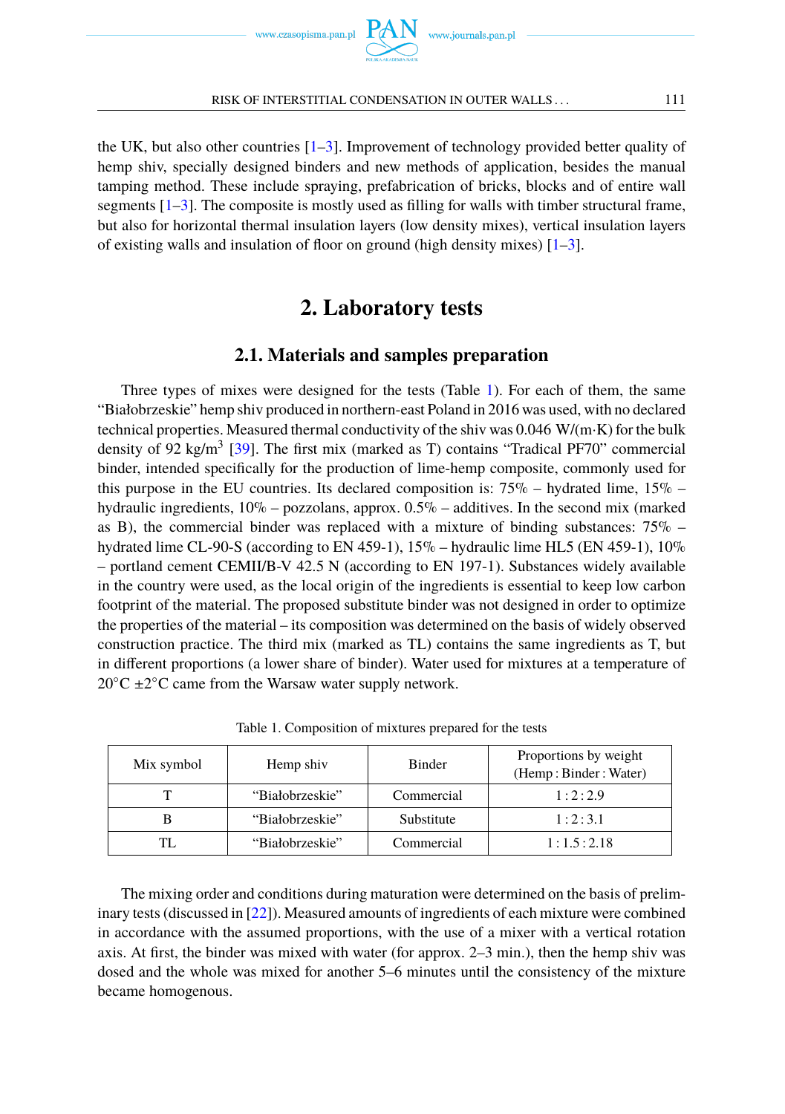



the UK, but also other countries [\[1](#page-11-0)[–3\]](#page-12-21). Improvement of technology provided better quality of hemp shiv, specially designed binders and new methods of application, besides the manual tamping method. These include spraying, prefabrication of bricks, blocks and of entire wall segments  $[1-3]$  $[1-3]$ . The composite is mostly used as filling for walls with timber structural frame, but also for horizontal thermal insulation layers (low density mixes), vertical insulation layers of existing walls and insulation of floor on ground (high density mixes) [\[1](#page-11-0)[–3\]](#page-12-21).

## **2. Laboratory tests**

## **2.1. Materials and samples preparation**

Three types of mixes were designed for the tests (Table [1\)](#page-4-0). For each of them, the same "Białobrzeskie" hemp shiv produced in northern-east Poland in 2016 was used, with no declared technical properties. Measured thermal conductivity of the shiv was 0.046 W/(m·K) for the bulk density of 92 kg/m<sup>3</sup> [\[39\]](#page-13-12). The first mix (marked as T) contains "Tradical PF70" commercial binder, intended specifically for the production of lime-hemp composite, commonly used for this purpose in the EU countries. Its declared composition is:  $75\%$  – hydrated lime,  $15\%$  – hydraulic ingredients, 10% – pozzolans, approx. 0.5% – additives. In the second mix (marked as B), the commercial binder was replaced with a mixture of binding substances: 75% – hydrated lime CL-90-S (according to EN 459-1),  $15\%$  – hydraulic lime HL5 (EN 459-1),  $10\%$ – portland cement CEMII/B-V 42.5 N (according to EN 197-1). Substances widely available in the country were used, as the local origin of the ingredients is essential to keep low carbon footprint of the material. The proposed substitute binder was not designed in order to optimize the properties of the material – its composition was determined on the basis of widely observed construction practice. The third mix (marked as TL) contains the same ingredients as T, but in different proportions (a lower share of binder). Water used for mixtures at a temperature of  $20^{\circ}$ C  $\pm 2^{\circ}$ C came from the Warsaw water supply network.

<span id="page-4-0"></span>

| Mix symbol | Hemp shiv       | <b>Binder</b> | Proportions by weight<br>(Hemp: Binder: Water) |  |  |  |
|------------|-----------------|---------------|------------------------------------------------|--|--|--|
|            | "Białobrzeskie" | Commercial    | 1:2:2.9                                        |  |  |  |
|            | "Białobrzeskie" | Substitute    | 1:2:3.1                                        |  |  |  |
|            | "Białobrzeskie" | Commercial    | 1:1.5:2.18                                     |  |  |  |

Table 1. Composition of mixtures prepared for the tests

The mixing order and conditions during maturation were determined on the basis of preliminary tests (discussed in [\[22\]](#page-12-18)). Measured amounts of ingredients of each mixture were combined in accordance with the assumed proportions, with the use of a mixer with a vertical rotation axis. At first, the binder was mixed with water (for approx. 2–3 min.), then the hemp shiv was dosed and the whole was mixed for another 5–6 minutes until the consistency of the mixture became homogenous.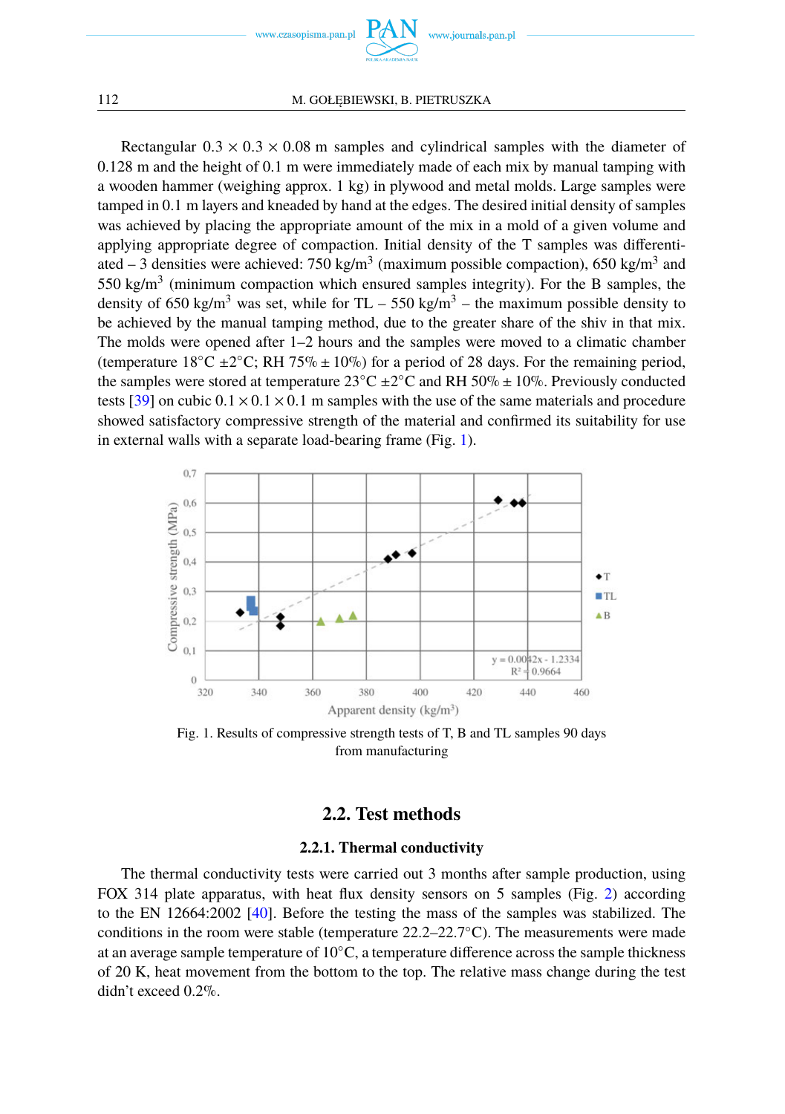

Rectangular  $0.3 \times 0.3 \times 0.08$  m samples and cylindrical samples with the diameter of 0.128 m and the height of 0.1 m were immediately made of each mix by manual tamping with a wooden hammer (weighing approx. 1 kg) in plywood and metal molds. Large samples were tamped in 0.1 m layers and kneaded by hand at the edges. The desired initial density of samples was achieved by placing the appropriate amount of the mix in a mold of a given volume and applying appropriate degree of compaction. Initial density of the T samples was differentiated  $-3$  densities were achieved: 750 kg/m<sup>3</sup> (maximum possible compaction), 650 kg/m<sup>3</sup> and 550 kg/m<sup>3</sup> (minimum compaction which ensured samples integrity). For the B samples, the density of 650 kg/m<sup>3</sup> was set, while for TL – 550 kg/m<sup>3</sup> – the maximum possible density to be achieved by the manual tamping method, due to the greater share of the shiv in that mix. The molds were opened after 1–2 hours and the samples were moved to a climatic chamber (temperature  $18^{\circ}$ C ±2 $^{\circ}$ C; RH 75% ± 10%) for a period of 28 days. For the remaining period, the samples were stored at temperature  $23^{\circ}$ C  $\pm 2^{\circ}$ C and RH 50%  $\pm$  10%. Previously conducted tests [\[39\]](#page-13-12) on cubic  $0.1 \times 0.1 \times 0.1$  m samples with the use of the same materials and procedure showed satisfactory compressive strength of the material and confirmed its suitability for use in external walls with a separate load-bearing frame (Fig. [1\)](#page-5-0).

<span id="page-5-0"></span>

Fig. 1. Results of compressive strength tests of T, B and TL samples 90 days from manufacturing

### **2.2. Test methods**

#### **2.2.1. Thermal conductivity**

The thermal conductivity tests were carried out 3 months after sample production, using FOX 314 plate apparatus, with heat flux density sensors on 5 samples (Fig. [2\)](#page-6-0) according to the EN 12664:2002 [\[40\]](#page-13-13). Before the testing the mass of the samples was stabilized. The conditions in the room were stable (temperature  $22.2-22.7°C$ ). The measurements were made at an average sample temperature of 10◦C, a temperature difference across the sample thickness of 20 K, heat movement from the bottom to the top. The relative mass change during the test didn't exceed 0.2%.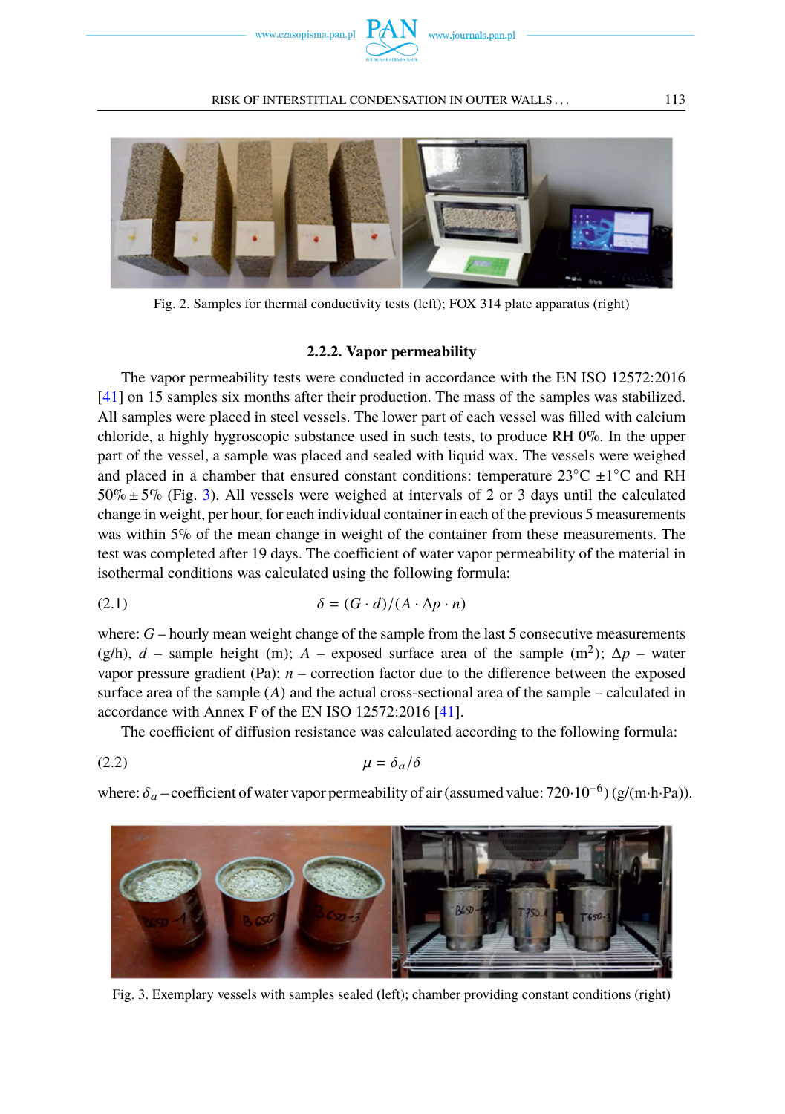

<span id="page-6-0"></span>

Fig. 2. Samples for thermal conductivity tests (left); FOX 314 plate apparatus (right)

#### **2.2.2. Vapor permeability**

The vapor permeability tests were conducted in accordance with the EN ISO 12572:2016 [\[41\]](#page-13-14) on 15 samples six months after their production. The mass of the samples was stabilized. All samples were placed in steel vessels. The lower part of each vessel was filled with calcium chloride, a highly hygroscopic substance used in such tests, to produce RH 0%. In the upper part of the vessel, a sample was placed and sealed with liquid wax. The vessels were weighed and placed in a chamber that ensured constant conditions: temperature  $23^{\circ}$ C  $\pm 1^{\circ}$ C and RH  $50\% \pm 5\%$  (Fig. [3\)](#page-6-1). All vessels were weighed at intervals of 2 or 3 days until the calculated change in weight, per hour, for each individual container in each of the previous 5 measurements was within 5% of the mean change in weight of the container from these measurements. The test was completed after 19 days. The coefficient of water vapor permeability of the material in isothermal conditions was calculated using the following formula:

(2.1) 
$$
\delta = (G \cdot d)/(A \cdot \Delta p \cdot n)
$$

where: *G* – hourly mean weight change of the sample from the last 5 consecutive measurements (g/h),  $d$  – sample height (m);  $A$  – exposed surface area of the sample (m<sup>2</sup>);  $Δp$  – water vapor pressure gradient (Pa);  $n -$  correction factor due to the difference between the exposed surface area of the sample  $(A)$  and the actual cross-sectional area of the sample – calculated in accordance with Annex F of the EN ISO 12572:2016 [\[41\]](#page-13-14).

The coefficient of diffusion resistance was calculated according to the following formula:

$$
\mu = \delta_a / \delta
$$

where:  $\delta_a$  – coefficient of water vapor permeability of air (assumed value: 720·10<sup>-6</sup>) (g/(m·h·Pa)).

<span id="page-6-1"></span>

Fig. 3. Exemplary vessels with samples sealed (left); chamber providing constant conditions (right)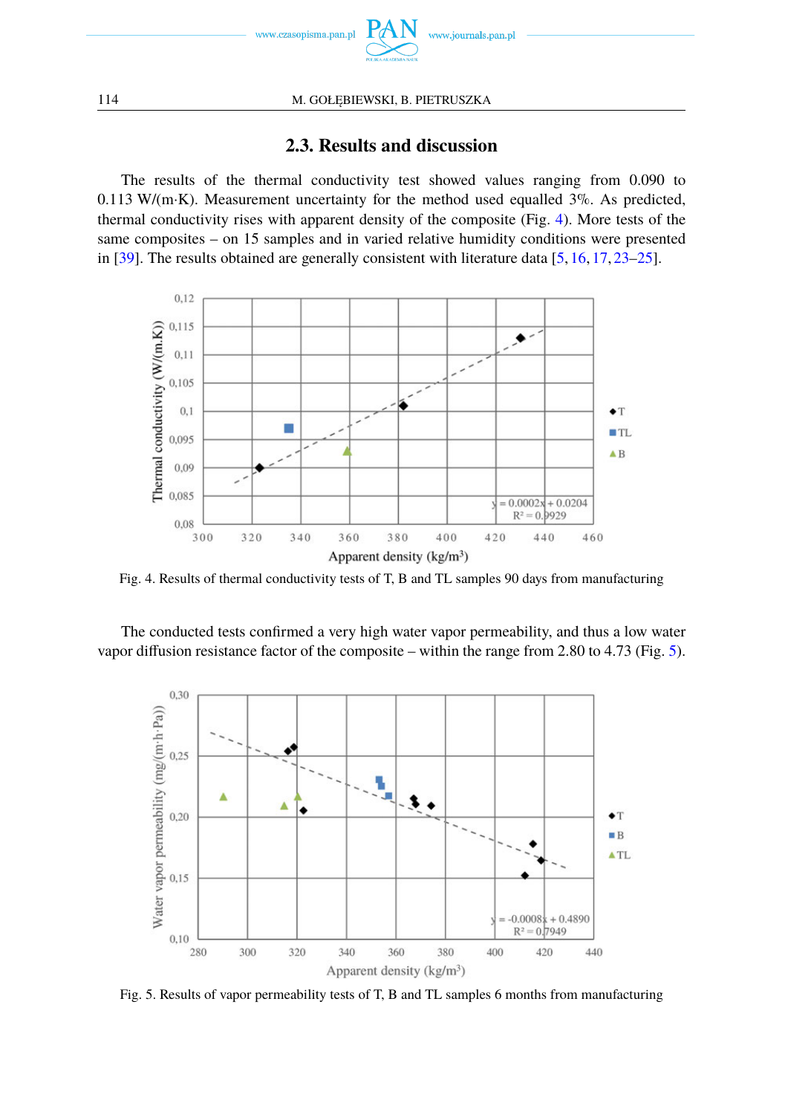

114 M. GOŁĘBIEWSKI, B. PIETRUSZKA

## **2.3. Results and discussion**

The results of the thermal conductivity test showed values ranging from 0.090 to 0.113 W/(m·K). Measurement uncertainty for the method used equalled  $3\%$ . As predicted, thermal conductivity rises with apparent density of the composite (Fig. [4\)](#page-7-0). More tests of the same composites – on 15 samples and in varied relative humidity conditions were presented in [\[39\]](#page-13-12). The results obtained are generally consistent with literature data [\[5,](#page-12-1) [16,](#page-12-12) [17,](#page-12-13) [23](#page-12-19)[–25\]](#page-13-0).

<span id="page-7-0"></span>

Fig. 4. Results of thermal conductivity tests of T, B and TL samples 90 days from manufacturing

The conducted tests confirmed a very high water vapor permeability, and thus a low water vapor diffusion resistance factor of the composite – within the range from 2.80 to 4.73 (Fig. [5\)](#page-7-1).

<span id="page-7-1"></span>

Fig. 5. Results of vapor permeability tests of T, B and TL samples 6 months from manufacturing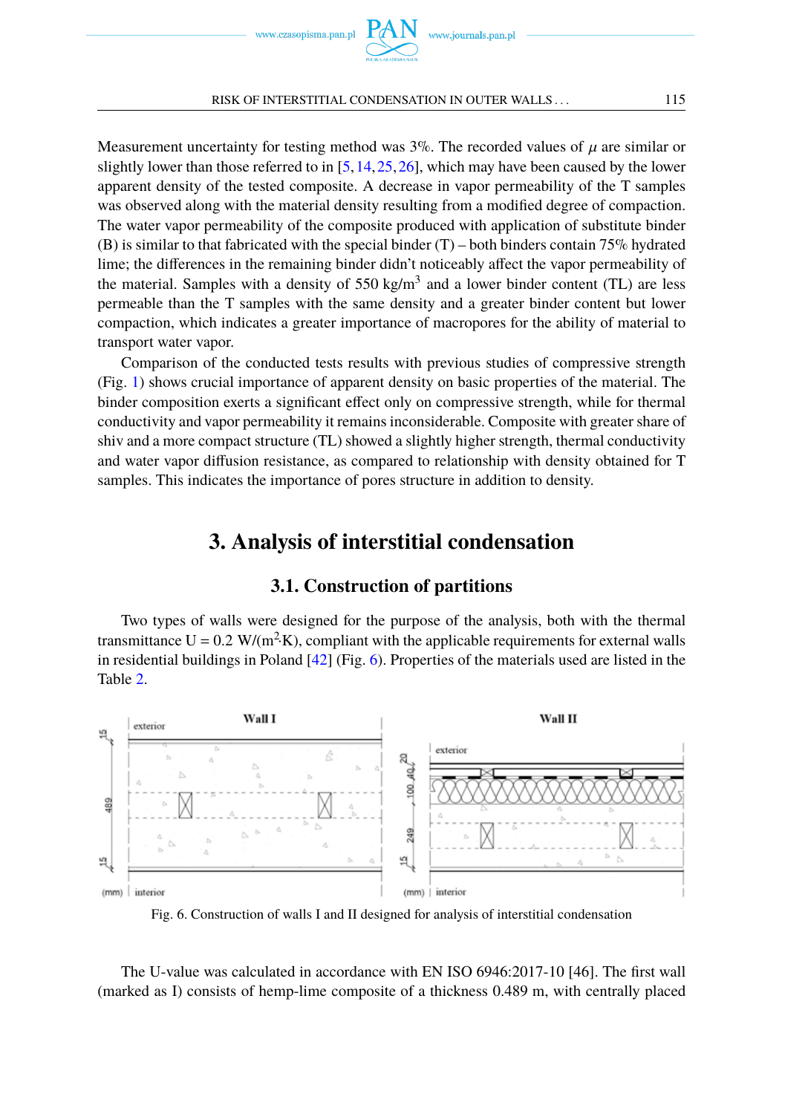Measurement uncertainty for testing method was  $3\%$ . The recorded values of  $\mu$  are similar or slightly lower than those referred to in  $[5,14,25,26]$  $[5,14,25,26]$  $[5,14,25,26]$  $[5,14,25,26]$ , which may have been caused by the lower apparent density of the tested composite. A decrease in vapor permeability of the T samples was observed along with the material density resulting from a modified degree of compaction. The water vapor permeability of the composite produced with application of substitute binder (B) is similar to that fabricated with the special binder  $(T)$  – both binders contain 75% hydrated lime; the differences in the remaining binder didn't noticeably affect the vapor permeability of the material. Samples with a density of  $550 \text{ kg/m}^3$  and a lower binder content (TL) are less permeable than the T samples with the same density and a greater binder content but lower compaction, which indicates a greater importance of macropores for the ability of material to transport water vapor.

Comparison of the conducted tests results with previous studies of compressive strength (Fig. [1\)](#page-5-0) shows crucial importance of apparent density on basic properties of the material. The binder composition exerts a significant effect only on compressive strength, while for thermal conductivity and vapor permeability it remains inconsiderable. Composite with greater share of shiv and a more compact structure (TL) showed a slightly higher strength, thermal conductivity and water vapor diffusion resistance, as compared to relationship with density obtained for T samples. This indicates the importance of pores structure in addition to density.

## **3. Analysis of interstitial condensation**

### **3.1. Construction of partitions**

Two types of walls were designed for the purpose of the analysis, both with the thermal transmittance  $U = 0.2$  W/(m<sup>2</sup> $K$ ), compliant with the applicable requirements for external walls in residential buildings in Poland [\[42\]](#page-13-15) (Fig. [6\)](#page-8-0). Properties of the materials used are listed in the Table [2.](#page-9-0)

<span id="page-8-0"></span>

Fig. 6. Construction of walls I and II designed for analysis of interstitial condensation

The U-value was calculated in accordance with EN ISO 6946:2017-10 [46]. The first wall (marked as I) consists of hemp-lime composite of a thickness 0.489 m, with centrally placed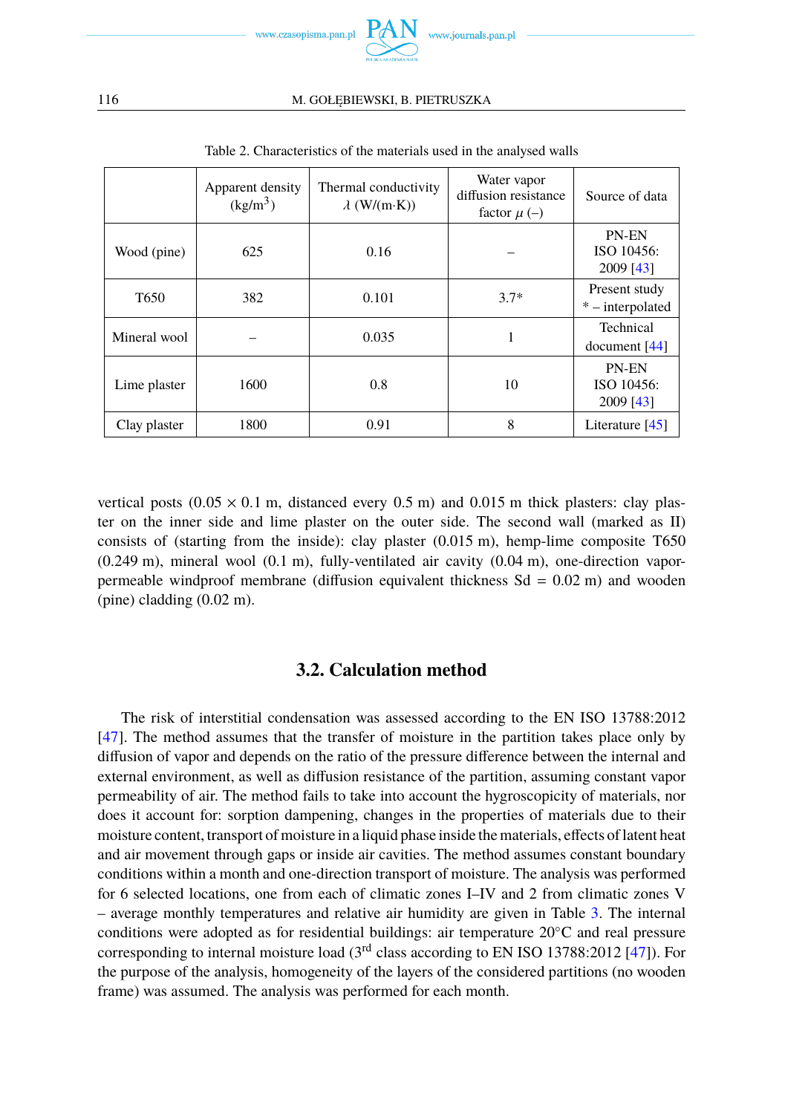

#### <span id="page-9-0"></span>116 M. GOŁĘBIEWSKI, B. PIETRUSZKA

|                  | Apparent density<br>(kg/m <sup>3</sup> ) | Thermal conductivity<br>$\lambda$ (W/(m·K)) | Water vapor<br>diffusion resistance<br>factor $\mu$ (–) | Source of data                    |  |
|------------------|------------------------------------------|---------------------------------------------|---------------------------------------------------------|-----------------------------------|--|
| Wood (pine)      | 625                                      | 0.16                                        |                                                         | PN-EN<br>ISO 10456:<br>2009 [43]  |  |
| T <sub>650</sub> | 382                                      | 0.101                                       | $3.7*$                                                  | Present study<br>* – interpolated |  |
| Mineral wool     |                                          | 0.035                                       |                                                         | Technical<br>document $[44]$      |  |
| Lime plaster     | 1600                                     | 0.8                                         | 10                                                      | PN-EN<br>ISO 10456:<br>2009 [43]  |  |
| Clay plaster     | 1800                                     | 0.91                                        | 8                                                       | Literature $[45]$                 |  |

Table 2. Characteristics of the materials used in the analysed walls

vertical posts  $(0.05 \times 0.1 \text{ m})$ , distanced every 0.5 m) and 0.015 m thick plasters: clay plaster on the inner side and lime plaster on the outer side. The second wall (marked as II) consists of (starting from the inside): clay plaster (0.015 m), hemp-lime composite T650  $(0.249 \text{ m})$ , mineral wool  $(0.1 \text{ m})$ , fully-ventilated air cavity  $(0.04 \text{ m})$ , one-direction vaporpermeable windproof membrane (diffusion equivalent thickness  $Sd = 0.02$  m) and wooden (pine) cladding (0.02 m).

## **3.2. Calculation method**

The risk of interstitial condensation was assessed according to the EN ISO 13788:2012 [\[47\]](#page-13-19). The method assumes that the transfer of moisture in the partition takes place only by diffusion of vapor and depends on the ratio of the pressure difference between the internal and external environment, as well as diffusion resistance of the partition, assuming constant vapor permeability of air. The method fails to take into account the hygroscopicity of materials, nor does it account for: sorption dampening, changes in the properties of materials due to their moisture content, transport of moisture in a liquid phase inside the materials, effects of latent heat and air movement through gaps or inside air cavities. The method assumes constant boundary conditions within a month and one-direction transport of moisture. The analysis was performed for 6 selected locations, one from each of climatic zones I–IV and 2 from climatic zones V – average monthly temperatures and relative air humidity are given in Table [3.](#page-10-0) The internal conditions were adopted as for residential buildings: air temperature 20◦C and real pressure corresponding to internal moisture load (3rd class according to EN ISO 13788:2012 [\[47\]](#page-13-19)). For the purpose of the analysis, homogeneity of the layers of the considered partitions (no wooden frame) was assumed. The analysis was performed for each month.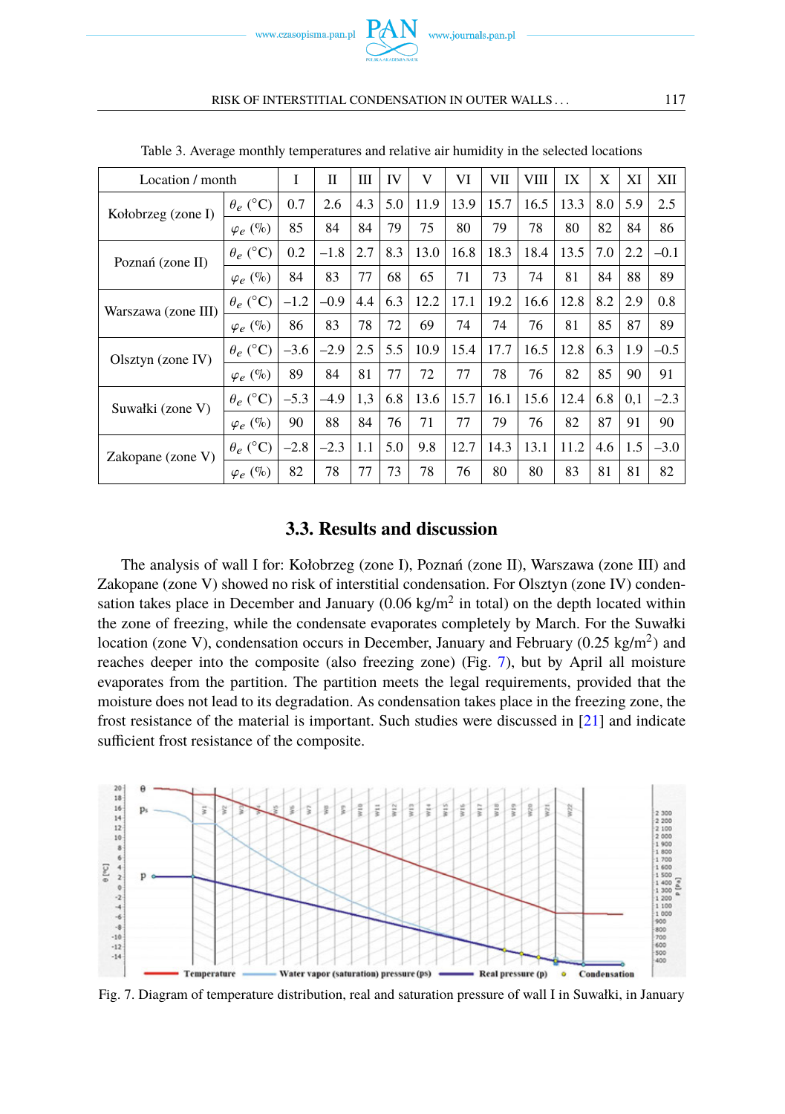

<span id="page-10-0"></span>

| Location / month    |                 | I      | П      | Ш   | IV  | V    | VI   | VII  | VIII | IX   | X   | XI  | XII    |
|---------------------|-----------------|--------|--------|-----|-----|------|------|------|------|------|-----|-----|--------|
| Kołobrzeg (zone I)  | $\theta_e$ (°C) | 0.7    | 2.6    | 4.3 | 5.0 | 11.9 | 13.9 | 15.7 | 16.5 | 13.3 | 8.0 | 5.9 | 2.5    |
|                     | $\varphi_e$ (%) | 85     | 84     | 84  | 79  | 75   | 80   | 79   | 78   | 80   | 82  | 84  | 86     |
| Poznań (zone II)    | $\theta_e$ (°C) | 0.2    | $-1.8$ | 2.7 | 8.3 | 13.0 | 16.8 | 18.3 | 18.4 | 13.5 | 7.0 | 2.2 | $-0.1$ |
|                     | $\varphi_e$ (%) | 84     | 83     | 77  | 68  | 65   | 71   | 73   | 74   | 81   | 84  | 88  | 89     |
| Warszawa (zone III) | $\theta_e$ (°C) | $-1.2$ | $-0.9$ | 4.4 | 6.3 | 12.2 | 17.1 | 19.2 | 16.6 | 12.8 | 8.2 | 2.9 | 0.8    |
|                     | $\varphi_e$ (%) | 86     | 83     | 78  | 72  | 69   | 74   | 74   | 76   | 81   | 85  | 87  | 89     |
| $Olsztyn$ (zone IV) | $\theta_e$ (°C) | $-3.6$ | $-2.9$ | 2.5 | 5.5 | 10.9 | 15.4 | 17.7 | 16.5 | 12.8 | 6.3 | 1.9 | $-0.5$ |
|                     | $\varphi_e$ (%) | 89     | 84     | 81  | 77  | 72   | 77   | 78   | 76   | 82   | 85  | 90  | 91     |
| Suwałki (zone V)    | $\theta_e$ (°C) | $-5.3$ | $-4.9$ | 1,3 | 6.8 | 13.6 | 15.7 | 16.1 | 15.6 | 12.4 | 6.8 | 0,1 | $-2.3$ |
|                     | $\varphi_e$ (%) | 90     | 88     | 84  | 76  | 71   | 77   | 79   | 76   | 82   | 87  | 91  | 90     |
| Zakopane (zone V)   | $\theta_e$ (°C) | $-2.8$ | $-2.3$ | 1.1 | 5.0 | 9.8  | 12.7 | 14.3 | 13.1 | 11.2 | 4.6 | 1.5 | $-3.0$ |
|                     | $\varphi_e$ (%) | 82     | 78     | 77  | 73  | 78   | 76   | 80   | 80   | 83   | 81  | 81  | 82     |

Table 3. Average monthly temperatures and relative air humidity in the selected locations

www.journals.pan.pl

### **3.3. Results and discussion**

The analysis of wall I for: Kołobrzeg (zone I), Poznań (zone II), Warszawa (zone III) and Zakopane (zone V) showed no risk of interstitial condensation. For Olsztyn (zone IV) condensation takes place in December and January  $(0.06 \text{ kg/m}^2 \text{ in total})$  on the depth located within the zone of freezing, while the condensate evaporates completely by March. For the Suwałki location (zone V), condensation occurs in December, January and February (0.25 kg/m<sup>2</sup>) and reaches deeper into the composite (also freezing zone) (Fig. [7\)](#page-10-1), but by April all moisture evaporates from the partition. The partition meets the legal requirements, provided that the moisture does not lead to its degradation. As condensation takes place in the freezing zone, the frost resistance of the material is important. Such studies were discussed in [\[21\]](#page-12-17) and indicate sufficient frost resistance of the composite.

<span id="page-10-1"></span>

Fig. 7. Diagram of temperature distribution, real and saturation pressure of wall I in Suwałki, in January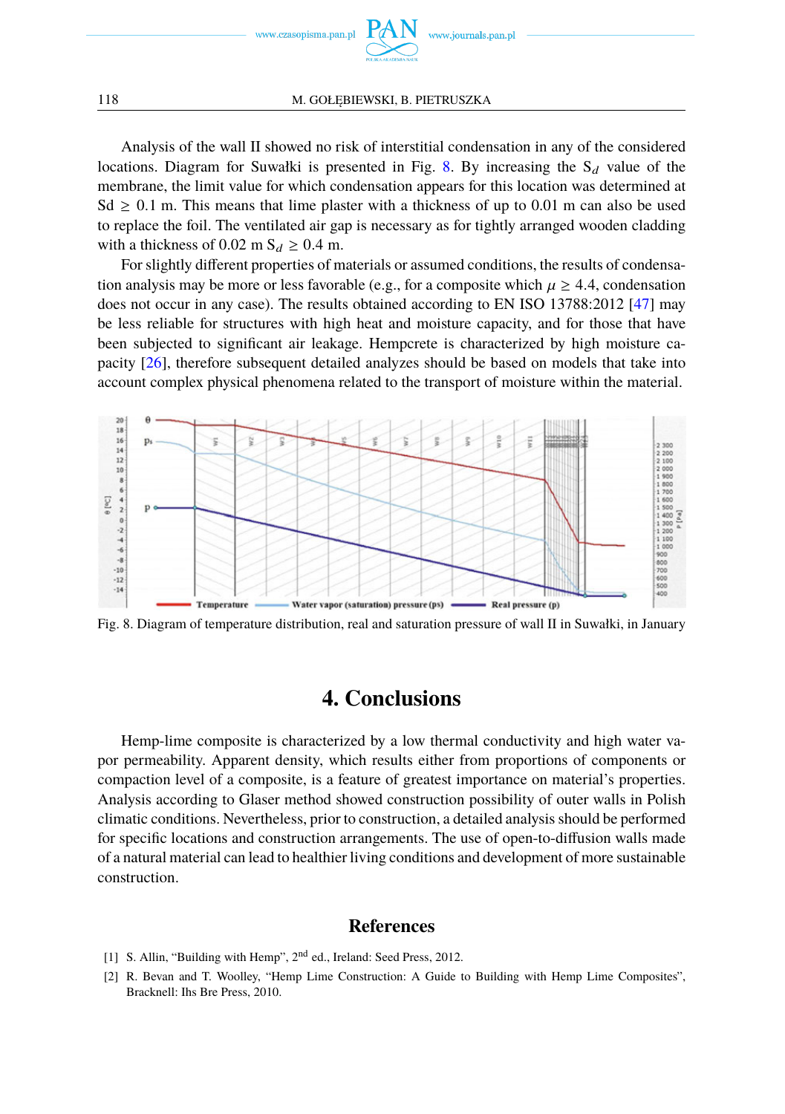

#### 118 M. GOŁEBIEWSKI, B. PIETRUSZKA

Analysis of the wall II showed no risk of interstitial condensation in any of the considered locations. Diagram for Suwałki is presented in Fig. [8.](#page-11-2) By increasing the  $S_d$  value of the membrane, the limit value for which condensation appears for this location was determined at Sd  $\geq$  0.1 m. This means that lime plaster with a thickness of up to 0.01 m can also be used to replace the foil. The ventilated air gap is necessary as for tightly arranged wooden cladding with a thickness of 0.02 m  $S_d \geq 0.4$  m.

For slightly different properties of materials or assumed conditions, the results of condensation analysis may be more or less favorable (e.g., for a composite which  $\mu \geq 4.4$ , condensation does not occur in any case). The results obtained according to EN ISO 13788:2012 [\[47\]](#page-13-19) may be less reliable for structures with high heat and moisture capacity, and for those that have been subjected to significant air leakage. Hempcrete is characterized by high moisture capacity [\[26\]](#page-13-1), therefore subsequent detailed analyzes should be based on models that take into account complex physical phenomena related to the transport of moisture within the material.

<span id="page-11-2"></span>

Fig. 8. Diagram of temperature distribution, real and saturation pressure of wall II in Suwałki, in January

## **4. Conclusions**

Hemp-lime composite is characterized by a low thermal conductivity and high water vapor permeability. Apparent density, which results either from proportions of components or compaction level of a composite, is a feature of greatest importance on material's properties. Analysis according to Glaser method showed construction possibility of outer walls in Polish climatic conditions. Nevertheless, prior to construction, a detailed analysis should be performed for specific locations and construction arrangements. The use of open-to-diffusion walls made of a natural material can lead to healthier living conditions and development of more sustainable construction.

## **References**

- <span id="page-11-0"></span>[1] S. Allin, "Building with Hemp", 2<sup>nd</sup> ed., Ireland: Seed Press, 2012.
- <span id="page-11-1"></span>[2] R. Bevan and T. Woolley, "Hemp Lime Construction: A Guide to Building with Hemp Lime Composites", Bracknell: Ihs Bre Press, 2010.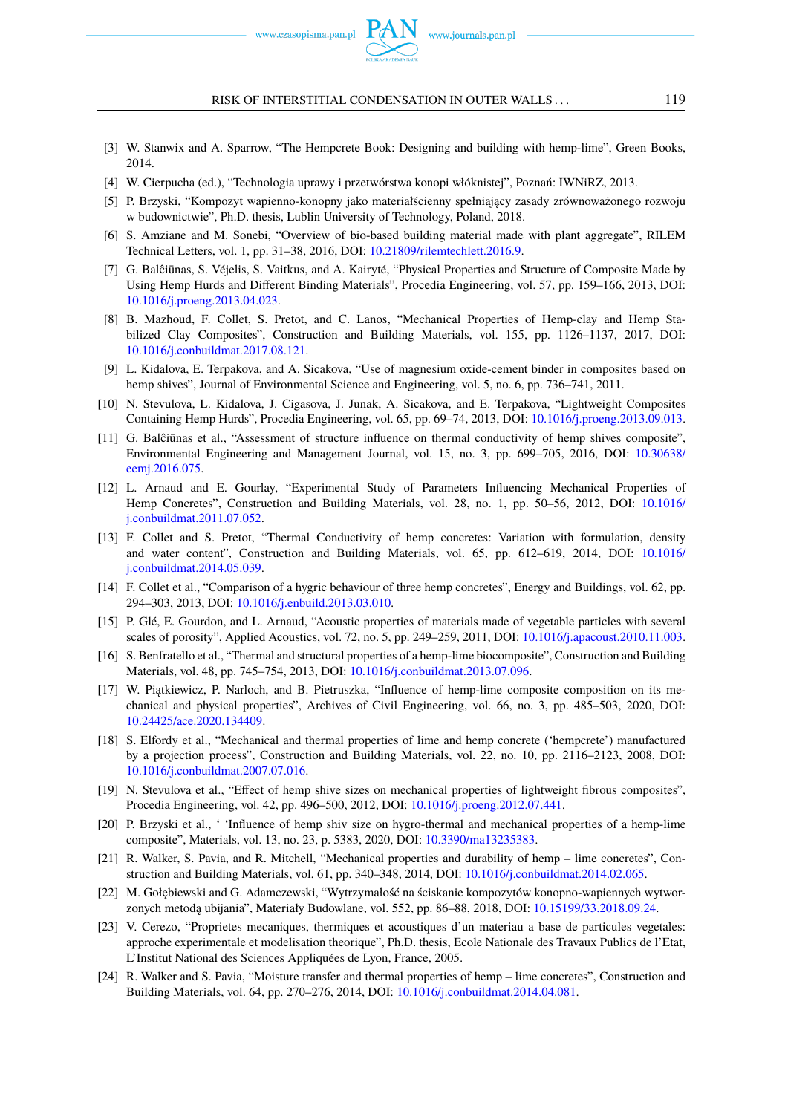

- <span id="page-12-21"></span>[3] W. Stanwix and A. Sparrow, "The Hempcrete Book: Designing and building with hemp-lime", Green Books, 2014.
- <span id="page-12-0"></span>[4] W. Cierpucha (ed.), "Technologia uprawy i przetwórstwa konopi włóknistej", Poznań: IWNiRZ, 2013.
- <span id="page-12-1"></span>[5] P. Brzyski, "Kompozyt wapienno-konopny jako materiałścienny spełniający zasady zrównoważonego rozwoju w budownictwie", Ph.D. thesis, Lublin University of Technology, Poland, 2018.
- <span id="page-12-2"></span>[6] S. Amziane and M. Sonebi, "Overview of bio-based building material made with plant aggregate", RILEM Technical Letters, vol. 1, pp. 31–38, 2016, DOI: [10.21809/rilemtechlett.2016.9.](https://doi.org/10.21809/rilemtechlett.2016.9)
- <span id="page-12-3"></span>[7] G. Balĉiūnas, S. Véjelis, S. Vaitkus, and A. Kairyté, "Physical Properties and Structure of Composite Made by Using Hemp Hurds and Different Binding Materials", Procedia Engineering, vol. 57, pp. 159–166, 2013, DOI: [10.1016/j.proeng.2013.04.023.](https://doi.org/10.1016/j.proeng.2013.04.023)
- <span id="page-12-4"></span>[8] B. Mazhoud, F. Collet, S. Pretot, and C. Lanos, "Mechanical Properties of Hemp-clay and Hemp Stabilized Clay Composites", Construction and Building Materials, vol. 155, pp. 1126–1137, 2017, DOI: [10.1016/j.conbuildmat.2017.08.121.](https://doi.org/10.1016/j.conbuildmat.2017.08.121)
- <span id="page-12-5"></span>[9] L. Kidalova, E. Terpakova, and A. Sicakova, "Use of magnesium oxide-cement binder in composites based on hemp shives", Journal of Environmental Science and Engineering, vol. 5, no. 6, pp. 736–741, 2011.
- <span id="page-12-6"></span>[10] N. Stevulova, L. Kidalova, J. Cigasova, J. Junak, A. Sicakova, and E. Terpakova, "Lightweight Composites Containing Hemp Hurds", Procedia Engineering, vol. 65, pp. 69–74, 2013, DOI: [10.1016/j.proeng.2013.09.013.](https://doi.org/10.1016/j.proeng.2013.09.013)
- <span id="page-12-7"></span>[11] G. Balciūnas et al., "Assessment of structure influence on thermal conductivity of hemp shives composite", Environmental Engineering and Management Journal, vol. 15, no. 3, pp. 699–705, 2016, DOI: [10.30638/](https://doi.org/10.30638/eemj.2016.075) [eemj.2016.075.](https://doi.org/10.30638/eemj.2016.075)
- <span id="page-12-8"></span>[12] L. Arnaud and E. Gourlay, "Experimental Study of Parameters Influencing Mechanical Properties of Hemp Concretes", Construction and Building Materials, vol. 28, no. 1, pp. 50–56, 2012, DOI: [10.1016/](https://doi.org/10.1016/j.conbuildmat.2011.07.052) [j.conbuildmat.2011.07.052.](https://doi.org/10.1016/j.conbuildmat.2011.07.052)
- <span id="page-12-9"></span>[13] F. Collet and S. Pretot, "Thermal Conductivity of hemp concretes: Variation with formulation, density and water content", Construction and Building Materials, vol. 65, pp. 612–619, 2014, DOI: [10.1016/](https://doi.org/10.1016/j.conbuildmat.2014.05.039) [j.conbuildmat.2014.05.039.](https://doi.org/10.1016/j.conbuildmat.2014.05.039)
- <span id="page-12-10"></span>[14] F. Collet et al., "Comparison of a hygric behaviour of three hemp concretes", Energy and Buildings, vol. 62, pp. 294–303, 2013, DOI: [10.1016/j.enbuild.2013.03.010.](https://doi.org/10.1016/j.enbuild.2013.03.010)
- <span id="page-12-11"></span>[15] P. Glé, E. Gourdon, and L. Arnaud, "Acoustic properties of materials made of vegetable particles with several scales of porosity", Applied Acoustics, vol. 72, no. 5, pp. 249–259, 2011, DOI: [10.1016/j.apacoust.2010.11.003.](https://doi.org/10.1016/j.apacoust.2010.11.003)
- <span id="page-12-12"></span>[16] S. Benfratello et al., "Thermal and structural properties of a hemp-lime biocomposite", Construction and Building Materials, vol. 48, pp. 745–754, 2013, DOI: [10.1016/j.conbuildmat.2013.07.096.](https://doi.org/10.1016/j.conbuildmat.2013.07.096)
- <span id="page-12-13"></span>[17] W. Piatkiewicz, P. Narloch, and B. Pietruszka, "Influence of hemp-lime composite composition on its mechanical and physical properties", Archives of Civil Engineering, vol. 66, no. 3, pp. 485–503, 2020, DOI: [10.24425/ace.2020.134409.](https://doi.org/10.24425/ace.2020.134409)
- <span id="page-12-14"></span>[18] S. Elfordy et al., "Mechanical and thermal properties of lime and hemp concrete ('hempcrete') manufactured by a projection process", Construction and Building Materials, vol. 22, no. 10, pp. 2116–2123, 2008, DOI: [10.1016/j.conbuildmat.2007.07.016.](https://doi.org/10.1016/j.conbuildmat.2007.07.016)
- <span id="page-12-15"></span>[19] N. Stevulova et al., "Effect of hemp shive sizes on mechanical properties of lightweight fibrous composites", Procedia Engineering, vol. 42, pp. 496–500, 2012, DOI: [10.1016/j.proeng.2012.07.441.](https://doi.org/10.1016/j.proeng.2012.07.441)
- <span id="page-12-16"></span>[20] P. Brzyski et al., ' 'Influence of hemp shiv size on hygro-thermal and mechanical properties of a hemp-lime composite", Materials, vol. 13, no. 23, p. 5383, 2020, DOI: [10.3390/ma13235383.](https://doi.org/10.3390/ma13235383)
- <span id="page-12-17"></span>[21] R. Walker, S. Pavia, and R. Mitchell, "Mechanical properties and durability of hemp – lime concretes", Construction and Building Materials, vol. 61, pp. 340–348, 2014, DOI: [10.1016/j.conbuildmat.2014.02.065.](https://doi.org/10.1016/j.conbuildmat.2014.02.065)
- <span id="page-12-18"></span>[22] M. Gołębiewski and G. Adamczewski, "Wytrzymałość na ściskanie kompozytów konopno-wapiennych wytwor-zonych metodą ubijania", Materiały Budowlane, vol. 552, pp. 86–88, 2018, DOI: [10.15199/33.2018.09.24.](https://doi.org/10.15199/33.2018.09.24)
- <span id="page-12-19"></span>[23] V. Cerezo, "Proprietes mecaniques, thermiques et acoustiques d'un materiau a base de particules vegetales: approche experimentale et modelisation theorique", Ph.D. thesis, Ecole Nationale des Travaux Publics de l'Etat, L'Institut National des Sciences Appliquées de Lyon, France, 2005.
- <span id="page-12-20"></span>[24] R. Walker and S. Pavia, "Moisture transfer and thermal properties of hemp – lime concretes", Construction and Building Materials, vol. 64, pp. 270–276, 2014, DOI: [10.1016/j.conbuildmat.2014.04.081.](https://doi.org/10.1016/j.conbuildmat.2014.04.081)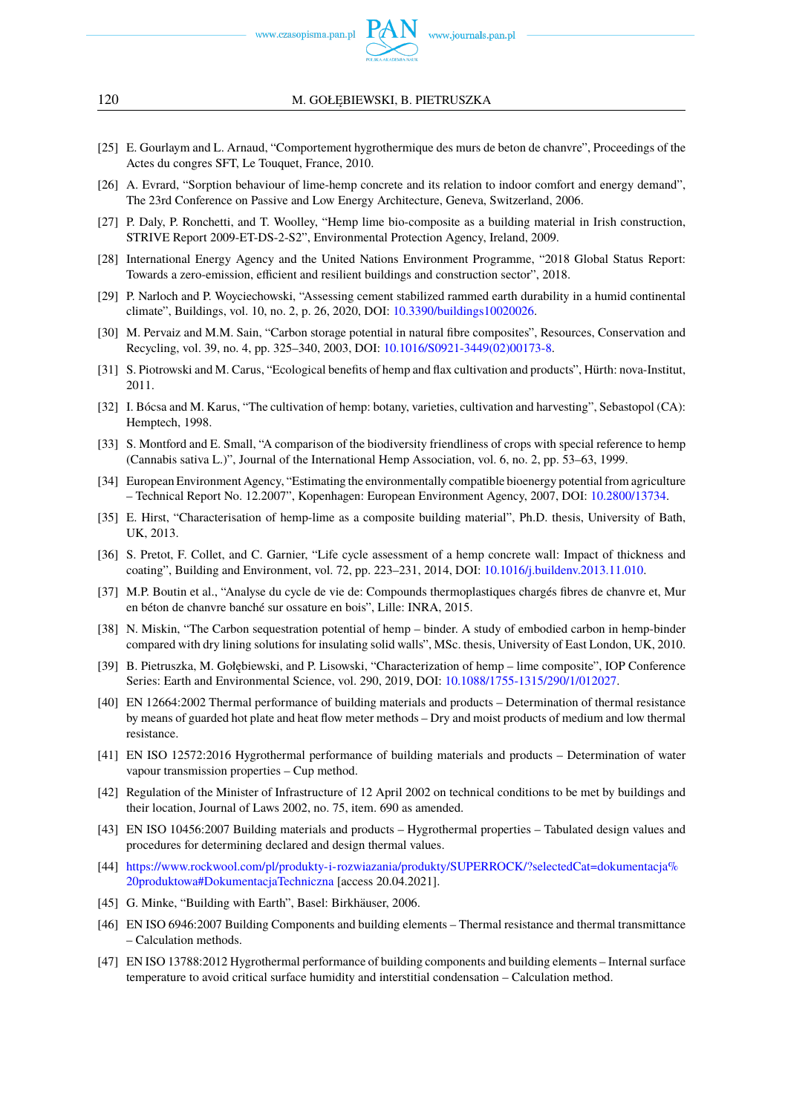

#### 120 M. GOŁĘBIEWSKI, B. PIETRUSZKA

- <span id="page-13-0"></span>[25] E. Gourlaym and L. Arnaud, "Comportement hygrothermique des murs de beton de chanvre", Proceedings of the Actes du congres SFT, Le Touquet, France, 2010.
- <span id="page-13-1"></span>[26] A. Evrard, "Sorption behaviour of lime-hemp concrete and its relation to indoor comfort and energy demand", The 23rd Conference on Passive and Low Energy Architecture, Geneva, Switzerland, 2006.
- <span id="page-13-2"></span>[27] P. Daly, P. Ronchetti, and T. Woolley, "Hemp lime bio-composite as a building material in Irish construction, STRIVE Report 2009-ET-DS-2-S2", Environmental Protection Agency, Ireland, 2009.
- <span id="page-13-3"></span>[28] International Energy Agency and the United Nations Environment Programme, "2018 Global Status Report: Towards a zero-emission, efficient and resilient buildings and construction sector", 2018.
- <span id="page-13-4"></span>[29] P. Narloch and P. Woyciechowski, "Assessing cement stabilized rammed earth durability in a humid continental climate", Buildings, vol. 10, no. 2, p. 26, 2020, DOI: [10.3390/buildings10020026.](https://doi.org/10.3390/buildings10020026)
- <span id="page-13-5"></span>[30] M. Pervaiz and M.M. Sain, "Carbon storage potential in natural fibre composites", Resources, Conservation and Recycling, vol. 39, no. 4, pp. 325–340, 2003, DOI: [10.1016/S0921-3449\(02\)00173-8.](https://doi.org/10.1016/S0921-3449(02)00173-8)
- <span id="page-13-6"></span>[31] S. Piotrowski and M. Carus, "Ecological benefits of hemp and flax cultivation and products", Hürth: nova-Institut, 2011.
- [32] I. Bócsa and M. Karus, "The cultivation of hemp: botany, varieties, cultivation and harvesting", Sebastopol (CA): Hemptech, 1998.
- [33] S. Montford and E. Small, "A comparison of the biodiversity friendliness of crops with special reference to hemp (Cannabis sativa L.)", Journal of the International Hemp Association, vol. 6, no. 2, pp. 53–63, 1999.
- <span id="page-13-7"></span>[34] European Environment Agency, "Estimating the environmentally compatible bioenergy potential from agriculture – Technical Report No. 12.2007", Kopenhagen: European Environment Agency, 2007, DOI: [10.2800/13734.](https://doi.org/10.2800/13734)
- <span id="page-13-8"></span>[35] E. Hirst, "Characterisation of hemp-lime as a composite building material", Ph.D. thesis, University of Bath, UK, 2013.
- <span id="page-13-9"></span>[36] S. Pretot, F. Collet, and C. Garnier, "Life cycle assessment of a hemp concrete wall: Impact of thickness and coating", Building and Environment, vol. 72, pp. 223–231, 2014, DOI: [10.1016/j.buildenv.2013.11.010.](https://doi.org/10.1016/j.buildenv.2013.11.010)
- <span id="page-13-10"></span>[37] M.P. Boutin et al., "Analyse du cycle de vie de: Compounds thermoplastiques chargés fibres de chanvre et, Mur en béton de chanvre banché sur ossature en bois", Lille: INRA, 2015.
- <span id="page-13-11"></span>[38] N. Miskin, "The Carbon sequestration potential of hemp – binder. A study of embodied carbon in hemp-binder compared with dry lining solutions for insulating solid walls", MSc. thesis, University of East London, UK, 2010.
- <span id="page-13-12"></span>[39] B. Pietruszka, M. Gołębiewski, and P. Lisowski, "Characterization of hemp – lime composite", IOP Conference Series: Earth and Environmental Science, vol. 290, 2019, DOI: [10.1088/1755-1315/290/1/012027.](https://doi.org/10.1088/1755-1315/290/1/012027)
- <span id="page-13-13"></span>[40] EN 12664:2002 Thermal performance of building materials and products – Determination of thermal resistance by means of guarded hot plate and heat flow meter methods – Dry and moist products of medium and low thermal resistance.
- <span id="page-13-14"></span>[41] EN ISO 12572:2016 Hygrothermal performance of building materials and products – Determination of water vapour transmission properties – Cup method.
- <span id="page-13-15"></span>[42] Regulation of the Minister of Infrastructure of 12 April 2002 on technical conditions to be met by buildings and their location, Journal of Laws 2002, no. 75, item. 690 as amended.
- <span id="page-13-16"></span>[43] EN ISO 10456:2007 Building materials and products – Hygrothermal properties – Tabulated design values and procedures for determining declared and design thermal values.
- <span id="page-13-17"></span>[44] [https://www.rockwool.com/pl/produkty-i-rozwiazania/produkty/SUPERROCK/?selectedCat=dokumentacja%](https://www.rockwool.com/pl/produkty-i-rozwiazania/produkty/SUPERROCK/?selectedCat=dokumentacja%20produktowa#DokumentacjaTechniczna) [20produktowa#DokumentacjaTechniczna](https://www.rockwool.com/pl/produkty-i-rozwiazania/produkty/SUPERROCK/?selectedCat=dokumentacja%20produktowa#DokumentacjaTechniczna) [access 20.04.2021].
- <span id="page-13-18"></span>[45] G. Minke, "Building with Earth", Basel: Birkhäuser, 2006.
- [46] EN ISO 6946:2007 Building Components and building elements Thermal resistance and thermal transmittance – Calculation methods.
- <span id="page-13-19"></span>[47] EN ISO 13788:2012 Hygrothermal performance of building components and building elements – Internal surface temperature to avoid critical surface humidity and interstitial condensation – Calculation method.